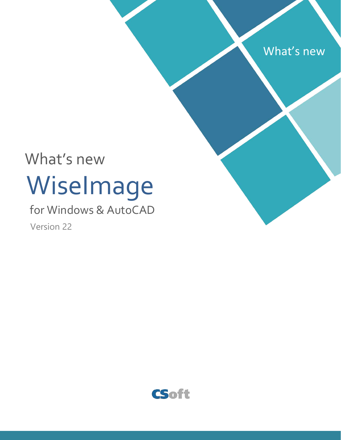

# WiseImage What's new

# for Windows & AutoCAD Version 22

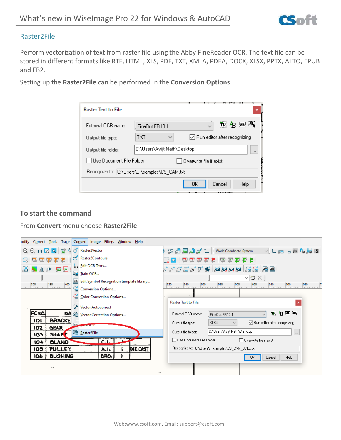

### Raster2File

Perform vectorization of text from raster file using the Abby FineReader OCR. The text file can be stored in different formats like RTF, HTML, XLS, PDF, TXT, XMLA, PDFA, DOCX, XLSX, PPTX, ALTO, EPUB and FB2.

Setting up the **Raster2File** can be performed in the **Conversion Options**

| <b>Raster Text to File</b>                 |                                  |                         |                                                   | x |  |  |  |
|--------------------------------------------|----------------------------------|-------------------------|---------------------------------------------------|---|--|--|--|
| External OCB name:                         | FineDut.FR10.1                   |                         | TR 4B AL AL                                       |   |  |  |  |
| Output file type:                          | <b>TXT</b><br>$\checkmark$       |                         | $\sqrt{\phantom{a}}$ Run editor after recognizing |   |  |  |  |
| Output file folder:                        | C:\Users\Avijit Nath\Desktop<br> |                         |                                                   |   |  |  |  |
| l Use Document File Folder                 |                                  | Overwrite file if exist |                                                   |   |  |  |  |
| Recognize to: C:\Users\\samples\CS_CAM.txt |                                  |                         |                                                   |   |  |  |  |
|                                            |                                  | ΟK                      | Cancel<br>Help                                    |   |  |  |  |

### **To start the command**

From **Convert** menu choose **Raster2File**

| odify Correct Tools Trace Convert Image Filters Window Help                                                                                                                                                       |                                                                                                                                                                                                                                                                             |  |  |  |  |  |  |
|-------------------------------------------------------------------------------------------------------------------------------------------------------------------------------------------------------------------|-----------------------------------------------------------------------------------------------------------------------------------------------------------------------------------------------------------------------------------------------------------------------------|--|--|--|--|--|--|
| S & Raster2Vector<br>$\Theta$ $\Theta$ 1:1 $\Omega$ $\Omega$                                                                                                                                                      | ងទួ⊡គ្នោជ<br><b>World Coordinate System</b>                                                                                                                                                                                                                                 |  |  |  |  |  |  |
| Raster2Contours<br>电电电电差                                                                                                                                                                                          | 20   国家国家长   国家国家长                                                                                                                                                                                                                                                          |  |  |  |  |  |  |
| $\frac{1}{4B}$ <b>Edit OCR Texts</b><br>$\mathbb{Z}^2$<br>$\overline{\mathbf{1}}$ , $\mathbf{1}$ , $\mathbf{0}$ , $\mathbf{1}$ , $\mathbf{1}$<br>e Train OCR<br>legilled Edit Symbol Recognition template library | (५०६४८♥ XXXX 88 88 8<br>∨l" ×l<br>520<br>540<br>560<br>580<br>600<br>620<br>640<br>660<br>680<br><b>Time</b> Loop<br><u>la a territoria territoria territoria territoria territoria territoria territoria territoria terri</u><br><b>Raster Text to File</b><br>$\mathbf x$ |  |  |  |  |  |  |
| 400<br>380<br>360<br>liitootaa kiina taasel ille<br><sup>4</sup> Conversion Options<br><b>Golor Conversion Options</b>                                                                                            |                                                                                                                                                                                                                                                                             |  |  |  |  |  |  |
| Vector Autocorrect                                                                                                                                                                                                |                                                                                                                                                                                                                                                                             |  |  |  |  |  |  |
| PC NO.<br>NA 2 Vector Correction Options                                                                                                                                                                          | TR 4B 画 2<br>External OCR name:<br>FineOut.FR10.1                                                                                                                                                                                                                           |  |  |  |  |  |  |
| <b>BRACKE</b><br>101<br>a <sub>B</sub> <sub>mieucK</sub>                                                                                                                                                          | ◯ Run editor after recognizing<br><b>XLSX</b><br>Output file type:<br>$\checkmark$                                                                                                                                                                                          |  |  |  |  |  |  |
| 102<br><b>GEAR</b><br>啊 Raster2File<br><b>SHAFT</b><br>ε۵                                                                                                                                                         | C:\Users\Avijit Nath\Desktop<br>Output file folder:<br>$\ldots$                                                                                                                                                                                                             |  |  |  |  |  |  |
| C.I<br><b>GLAND</b><br>104                                                                                                                                                                                        | Use Document File Folder<br>$\Box$ Overwrite file if exist                                                                                                                                                                                                                  |  |  |  |  |  |  |
| 105<br>PULLEY<br>DIE CAST<br>A.I.                                                                                                                                                                                 | Recognize to: C:\Users\\samples\CS_CAM_001.xlsx                                                                                                                                                                                                                             |  |  |  |  |  |  |
| <b>BUSHING</b><br>BRO.<br>106                                                                                                                                                                                     | Cancel<br>Help<br>0K                                                                                                                                                                                                                                                        |  |  |  |  |  |  |
| .<br>$\sim$                                                                                                                                                                                                       |                                                                                                                                                                                                                                                                             |  |  |  |  |  |  |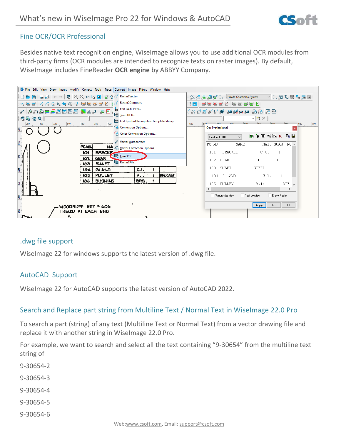

# Fine OCR/OCR Professional

Besides native text recognition engine, WiseImage allows you to use additional OCR modules from third-party firms (OCR modules are intended to recognize texts on raster images). By default, WiseImage includes FineReader **OCR engine** by ABBYY Company.

|                                                                                                                                                                                     | Eile Edit View Draw Insert Modify Correct Tools Trace Convert Image Filters Window Help                                                                                                                                                |                     |                                                    |                                       |
|-------------------------------------------------------------------------------------------------------------------------------------------------------------------------------------|----------------------------------------------------------------------------------------------------------------------------------------------------------------------------------------------------------------------------------------|---------------------|----------------------------------------------------|---------------------------------------|
| $D - B$                                                                                                                                                                             |                                                                                                                                                                                                                                        |                     | World Coordinate System<br>ਲਿਆ ਜਿਭਿਲ               | <b>▽ こうこうにつきをする</b>                   |
|                                                                                                                                                                                     | $\mathcal{A}_b \boxplus \boxdot \bigwedge (\mathcal{A}_b \mathbb{C}_b \otimes_{\mathcal{B}_b} \blacklozenge_{\mathcal{B}_b} \mathbb{C}_b \bigcap \biguplus \boxdot \biguplus \boxdot \biguplus \mathcal{I}^c \text{ Rastei2\_ontours}$ |                     | 30 神国的西亚人 医西西西女                                    |                                       |
| $\blacksquare$ $\blacksquare$ $\blacksquare$ $\blacksquare$ $\blacksquare$ $\blacksquare$ $\blacksquare$ $\blacksquare$ $\blacksquare$ $\blacksquare$ $\blacksquare$ $\blacksquare$ | $\frac{1}{aB}$ Edit OCR Texts                                                                                                                                                                                                          |                     |                                                    |                                       |
|                                                                                                                                                                                     | 图 Train OCR                                                                                                                                                                                                                            |                     |                                                    | $\times$ 0 $\times$                   |
| 看唱唱戏                                                                                                                                                                                | Edit Symbol Recognition template library                                                                                                                                                                                               |                     |                                                    |                                       |
| 280<br>380                                                                                                                                                                          | G Conversion Options                                                                                                                                                                                                                   |                     | 520<br><b>Continued</b><br><b>Ocr Professional</b> | 680<br>$\frac{1}{200}$                |
| 360                                                                                                                                                                                 | Color Conversion Options<br>Vector Autocorrect                                                                                                                                                                                         |                     | FineOut FR10.1                                     | 放矢画翼膜× 电目                             |
|                                                                                                                                                                                     | PC NO.<br>NA 2 Vector Correction Options                                                                                                                                                                                               |                     | PC MO.<br>NAME                                     | MAT. QUAN. NO ^                       |
|                                                                                                                                                                                     | <b>BRACKE</b><br>IOI                                                                                                                                                                                                                   |                     | <b>BRACKET</b><br>101                              | C.t.                                  |
| 340                                                                                                                                                                                 | <b>E</b> : EineOCR<br><b>GEAR</b><br>102                                                                                                                                                                                               |                     | 102<br>6EAR                                        | $C.1$ .                               |
|                                                                                                                                                                                     | <b>Fig Raster2File</b><br><b>SHAFT</b><br>103                                                                                                                                                                                          |                     |                                                    |                                       |
| 320                                                                                                                                                                                 | <b>GLAND</b><br>C.I.<br>104                                                                                                                                                                                                            |                     | 103<br><b>SUAFT</b>                                | <b>STEEL</b><br>$\mathbf{1}$          |
|                                                                                                                                                                                     | PULLEY<br>105<br>A.I.                                                                                                                                                                                                                  | DIE CAST            | 61.AMD<br>104                                      | C.1.                                  |
| $\mathbb{S}^n$                                                                                                                                                                      | <b>BUSHING</b><br>106<br>BRO.                                                                                                                                                                                                          |                     | PULLEY<br>105                                      | DIE $\sqrt{ }$<br>$A.1*$              |
|                                                                                                                                                                                     | $\sim 10^{-1}$ .                                                                                                                                                                                                                       |                     | $\langle$                                          | $\rightarrow$                         |
| 280                                                                                                                                                                                 |                                                                                                                                                                                                                                        |                     | □ Syncronize view                                  | □ Erase Raster<br>$\Box$ Text preview |
| <b>NOODRUFF</b><br>606                                                                                                                                                              |                                                                                                                                                                                                                                        |                     |                                                    | Help<br>Close<br>Apply                |
| 260                                                                                                                                                                                 | IREQID AT EACH END                                                                                                                                                                                                                     |                     |                                                    |                                       |
| 5                                                                                                                                                                                   |                                                                                                                                                                                                                                        | <u>________</u> ___ |                                                    |                                       |

# .dwg file support

WiseImage 22 for windows supports the latest version of .dwg file.

# AutoCAD Support

WiseImage 22 for AutoCAD supports the latest version of AutoCAD 2022.

# Search and Replace part string from Multiline Text / Normal Text in WiseImage 22.0 Pro

To search a part (string) of any text (Multiline Text or Normal Text) from a vector drawing file and replace it with another string in WiseImage 22.0 Pro.

For example, we want to search and select all the text containing "9-30654" from the multiline text string of

- 9-30654-2
- 9-30654-3
- 9-30654-4
- 9-30654-5
- 9-30654-6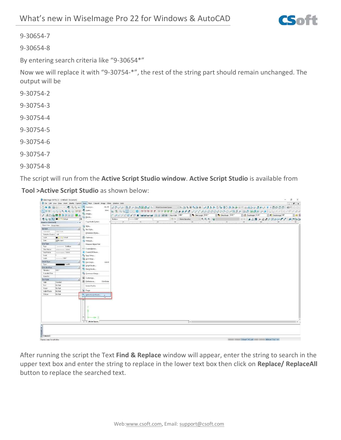

9-30654-7

9-30654-8

By entering search criteria like "9-30654\*"

Now we will replace it with "9-30754-\*", the rest of the string part should remain unchanged. The output will be

- 9-30754-2
- 9-30754-3
- 9-30754-4
- 9-30754-5
- 9-30754-6
- 9-30754-7
- 9-30754-8

The script will run from the **Active Script Studio window**. **Active Script Studio** is available from

**Tool >Active Script Studio** as shown below:

| Wiselmage vila Pro 22 - (Untitled) Document)                                        |                               |           |                                  |     |               |                |                             |                 |        |                 |                                                                                                    | $\overline{\phantom{a}}$ | CO.<br>$\times$ |
|-------------------------------------------------------------------------------------|-------------------------------|-----------|----------------------------------|-----|---------------|----------------|-----------------------------|-----------------|--------|-----------------|----------------------------------------------------------------------------------------------------|--------------------------|-----------------|
| E 14: 14: Unw Draw Insert Moddy Correct Shots That Comret Image Hitter Window Lists |                               |           |                                  |     |               |                |                             |                 |        |                 |                                                                                                    |                          | $ 6x$           |
| □■ ■ 區画 → → ■ 鱼鱼 115 Q mpmps                                                        |                               | $48 - 87$ |                                  |     |               |                |                             |                 |        |                 | 公开:20  局工+20  西国森武士  Wandooram With 市石田山東市西山東北上に日本村区の1992  中央:10  公开:20  石田田田田田田田田田田田田田田田田田田田田田田田田 |                          |                 |
| 外部形 んんこちもの 同田県 県1996                                                                |                               | Ab+L      |                                  |     |               |                |                             |                 |        |                 | も 常 円品図 口口口 甲甲甲甲 # 甲甲甲甲 # ろタタタタ ノノミズムのののかわれのい品工 ※ 20 の 国連派 → ★ 口口 ベノ バアクアフォ                        |                          |                 |
| / ADD属重重图图图 图画                                                                      | Fig. Images                   |           | AXXCEAPS MANUAL SE AT RESERVANCE |     |               |                |                             | A Minimum 0.02" |        | A MacBlesk 0.02 | Clay Textingle 0.24"                                                                               | A Hachdoga 00            | $  -$           |
| ● B B Q ■ 774 Datast                                                                | Ed pack.<br>猫                 | Sádire    | $1 - 000$                        |     |               |                | $-12 \times 5$ dud Spanilar |                 | 一处民机一国 |                 | CO AAN AARRENT BOOD                                                                                |                          |                 |
| Interestor-(Undeledd)<br>$-1$                                                       | Cogninate System              |           | $\frac{1}{2}$                    | 76. | $\Rightarrow$ | $\overline{a}$ |                             | 39 <sup>°</sup> | $-18$  | $80 - 10$       | $\pi$<br>$\mathbb{R}$                                                                              | $+$                      |                 |
| Oteect View Group View                                                              | 三9水                           |           |                                  |     |               |                |                             |                 |        |                 |                                                                                                    |                          |                 |
| Goveral                                                                             | J. To bet Shield              |           |                                  |     |               |                |                             |                 |        |                 |                                                                                                    |                          |                 |
| Creward.<br>Staling Ave.                                                            | Dimension Styles              |           |                                  |     |               |                |                             |                 |        |                 |                                                                                                    |                          |                 |
| Selector-Source Last                                                                |                               |           |                                  |     |               |                |                             |                 |        |                 |                                                                                                    |                          |                 |
| <b>B</b> 2 9 h Datast<br>Loan                                                       | <b>El Ciphosk.</b>            |           |                                  |     |               |                |                             |                 |        |                 |                                                                                                    |                          |                 |
| Color<br><b>STR/Last</b>                                                            | Ap Measure                    |           |                                  |     |               |                |                             |                 |        |                 |                                                                                                    |                          |                 |
| Uni Type<br>$\bullet$                                                               | Maggiure Obiect Part          |           |                                  |     |               |                |                             |                 |        |                 |                                                                                                    |                          |                 |
| $-$ Solding<br>Tape<br><b>Elet Hanse</b><br>$-$ (hirie)                             | a = Create Modes              |           |                                  |     |               |                |                             |                 |        |                 |                                                                                                    |                          |                 |
| <b>End</b> Market<br>month                                                          | Create Ell Shape              |           |                                  |     |               |                |                             |                 |        |                 |                                                                                                    |                          |                 |
| Soak                                                                                | <b>Par Sono Setup </b>        |           |                                  |     |               |                |                             |                 |        |                 |                                                                                                    |                          |                 |
| Width<br>$-001$ <sup>*</sup>                                                        | Und Setup                     |           |                                  |     |               |                |                             |                 |        |                 |                                                                                                    |                          |                 |
| <b>Hatch Type</b><br>$\bullet$                                                      | <sup>16</sup> Eun Sciut.      | $Cul-1$   |                                  |     |               |                |                             |                 |        |                 |                                                                                                    |                          |                 |
| Tape<br>Sold 1                                                                      | <b>BI</b> Script Studio       |           |                                  |     |               |                |                             |                 |        |                 |                                                                                                    |                          |                 |
| Estandad Data<br>$\left  \cdot \right $                                             |                               |           |                                  |     |               |                |                             |                 |        |                 |                                                                                                    |                          |                 |
| $0.00 -$<br>Elevatory                                                               | Pa Batch Studes               |           |                                  |     |               |                |                             |                 |        |                 |                                                                                                    |                          |                 |
| <b>Taxended Date</b>                                                                | Fig. Command Setup            |           |                                  |     |               |                |                             |                 |        |                 |                                                                                                    |                          |                 |
| <b>Hyperink</b>                                                                     | E Customics.                  |           |                                  |     |               |                |                             |                 |        |                 |                                                                                                    |                          |                 |
| Text Style<br>٠                                                                     | IS Freferences.<br>Chie Leter |           |                                  |     |               |                |                             |                 |        |                 |                                                                                                    |                          |                 |
| <b>Titals</b><br><b>Stondard</b>                                                    |                               |           |                                  |     |               |                |                             |                 |        |                 |                                                                                                    |                          |                 |
| By Style<br>Fort<br>Hadri                                                           | <b>Soutch Profile</b>         |           |                                  |     |               |                |                             |                 |        |                 |                                                                                                    |                          |                 |
| <b>By Style</b><br>Width Factor<br>By Stole                                         | St. Furge                     |           |                                  |     |               |                |                             |                 |        |                 |                                                                                                    |                          |                 |
| <b>Otique</b><br>By Side                                                            | Ar. Active Script Studio      |           |                                  |     |               |                |                             |                 |        |                 |                                                                                                    |                          |                 |
|                                                                                     |                               |           |                                  |     |               |                |                             |                 |        |                 |                                                                                                    |                          |                 |
|                                                                                     |                               |           |                                  |     |               |                |                             |                 |        |                 |                                                                                                    |                          |                 |
|                                                                                     |                               |           |                                  |     |               |                |                             |                 |        |                 |                                                                                                    |                          |                 |
|                                                                                     |                               |           |                                  |     |               |                |                             |                 |        |                 |                                                                                                    |                          |                 |
|                                                                                     |                               |           |                                  |     |               |                |                             |                 |        |                 |                                                                                                    |                          |                 |
|                                                                                     |                               |           |                                  |     |               |                |                             |                 |        |                 |                                                                                                    |                          |                 |
|                                                                                     |                               |           |                                  |     |               |                |                             |                 |        |                 |                                                                                                    |                          |                 |
|                                                                                     | m.                            |           |                                  |     |               |                |                             |                 |        |                 |                                                                                                    |                          |                 |
|                                                                                     | ( ) Model Space               |           |                                  |     |               |                | Tki                         |                 |        |                 |                                                                                                    |                          |                 |
|                                                                                     |                               |           |                                  |     |               |                |                             |                 |        |                 |                                                                                                    |                          |                 |
|                                                                                     |                               |           |                                  |     |               |                |                             |                 |        |                 |                                                                                                    |                          |                 |
|                                                                                     |                               |           |                                  |     |               |                |                             |                 |        |                 |                                                                                                    |                          |                 |
| Connand                                                                             |                               |           |                                  |     |               |                |                             |                 |        |                 |                                                                                                    |                          |                 |
| Covers a new Script Editor                                                          |                               |           |                                  |     |               |                |                             |                 |        |                 | WIND WANT COMPIDENT FOR THE                                                                        | HORAW   SW   SH          |                 |
|                                                                                     |                               |           |                                  |     |               |                |                             |                 |        |                 |                                                                                                    |                          |                 |

After running the script the Text **Find & Replace** window will appear, enter the string to search in the upper text box and enter the string to replace in the lower text box then click on **Replace/ ReplaceAll** button to replace the searched text.